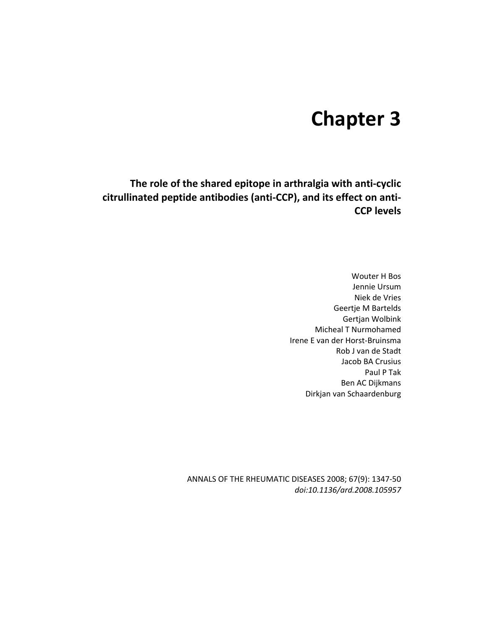# **Chapter 3**

**The role of the shared epitope in arthralgia with anti-cyclic citrullinated peptide antibodies (anti-CCP), and its effect on anti-CCP levels** 

> Wouter H Bos Jennie Ursum Niek de Vries Geertje M Bartelds Gertjan Wolbink Micheal T Nurmohamed Irene E van der Horst-Bruinsma Rob J van de Stadt Jacob BA Crusius Paul P Tak Ben AC Dijkmans Dirkjan van Schaardenburg

ANNALS OF THE RHEUMATIC DISEASES 2008; 67(9): 1347-50 *doi:10.1136/ard.2008.105957*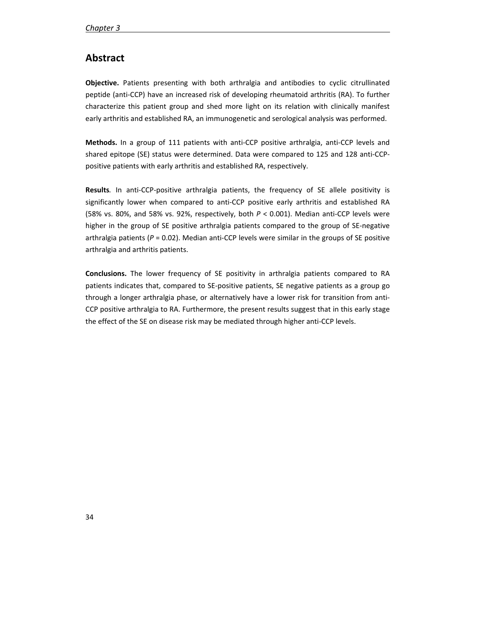# **Abstract**

**Objective.** Patients presenting with both arthralgia and antibodies to cyclic citrullinated peptide (anti-CCP) have an increased risk of developing rheumatoid arthritis (RA). To further characterize this patient group and shed more light on its relation with clinically manifest early arthritis and established RA, an immunogenetic and serological analysis was performed.

**Methods.** In a group of 111 patients with anti-CCP positive arthralgia, anti-CCP levels and shared epitope (SE) status were determined. Data were compared to 125 and 128 anti-CCPpositive patients with early arthritis and established RA, respectively.

**Results***.* In anti-CCP-positive arthralgia patients, the frequency of SE allele positivity is significantly lower when compared to anti-CCP positive early arthritis and established RA (58% vs. 80%, and 58% vs. 92%, respectively, both *P* < 0.001). Median anti-CCP levels were higher in the group of SE positive arthralgia patients compared to the group of SE-negative arthralgia patients ( $P = 0.02$ ). Median anti-CCP levels were similar in the groups of SE positive arthralgia and arthritis patients.

**Conclusions.** The lower frequency of SE positivity in arthralgia patients compared to RA patients indicates that, compared to SE-positive patients, SE negative patients as a group go through a longer arthralgia phase, or alternatively have a lower risk for transition from anti-CCP positive arthralgia to RA. Furthermore, the present results suggest that in this early stage the effect of the SE on disease risk may be mediated through higher anti-CCP levels.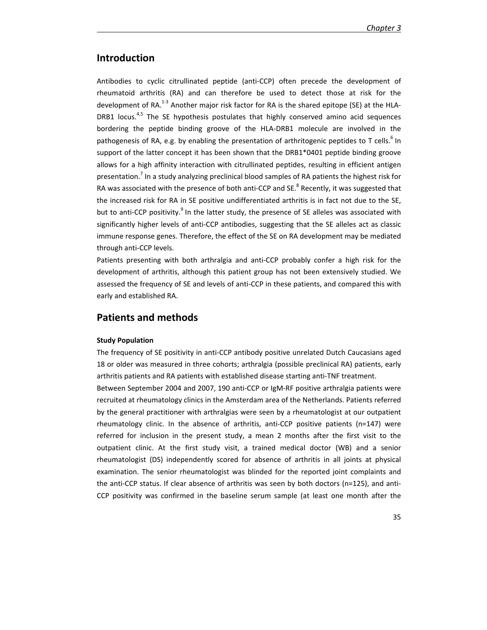# **Introduction**

Antibodies to cyclic citrullinated peptide (anti-CCP) often precede the development of rheumatoid arthritis (RA) and can therefore be used to detect those at risk for the development of RA.<sup>1-3</sup> Another major risk factor for RA is the shared epitope (SE) at the HLA-DRB1 locus.<sup>4,5</sup> The SE hypothesis postulates that highly conserved amino acid sequences bordering the peptide binding groove of the HLA-DRB1 molecule are involved in the pathogenesis of RA, e.g. by enabling the presentation of arthritogenic peptides to T cells.<sup>6</sup> In support of the latter concept it has been shown that the DRB1\*0401 peptide binding groove allows for a high affinity interaction with citrullinated peptides, resulting in efficient antigen presentation.<sup>7</sup> In a study analyzing preclinical blood samples of RA patients the highest risk for RA was associated with the presence of both anti-CCP and SE.<sup>8</sup> Recently, it was suggested that the increased risk for RA in SE positive undifferentiated arthritis is in fact not due to the SE, but to anti-CCP positivity.<sup>9</sup> In the latter study, the presence of SE alleles was associated with significantly higher levels of anti-CCP antibodies, suggesting that the SE alleles act as classic immune response genes. Therefore, the effect of the SE on RA development may be mediated through anti-CCP levels.

Patients presenting with both arthralgia and anti-CCP probably confer a high risk for the development of arthritis, although this patient group has not been extensively studied. We assessed the frequency of SE and levels of anti-CCP in these patients, and compared this with early and established RA.

## **Patients and methods**

## **Study Population**

The frequency of SE positivity in anti-CCP antibody positive unrelated Dutch Caucasians aged 18 or older was measured in three cohorts; arthralgia (possible preclinical RA) patients, early arthritis patients and RA patients with established disease starting anti-TNF treatment.

Between September 2004 and 2007, 190 anti-CCP or IgM-RF positive arthralgia patients were recruited at rheumatology clinics in the Amsterdam area of the Netherlands. Patients referred by the general practitioner with arthralgias were seen by a rheumatologist at our outpatient rheumatology clinic. In the absence of arthritis, anti-CCP positive patients (n=147) were referred for inclusion in the present study, a mean 2 months after the first visit to the outpatient clinic. At the first study visit, a trained medical doctor (WB) and a senior rheumatologist (DS) independently scored for absence of arthritis in all joints at physical examination. The senior rheumatologist was blinded for the reported joint complaints and the anti-CCP status. If clear absence of arthritis was seen by both doctors (n=125), and anti-CCP positivity was confirmed in the baseline serum sample (at least one month after the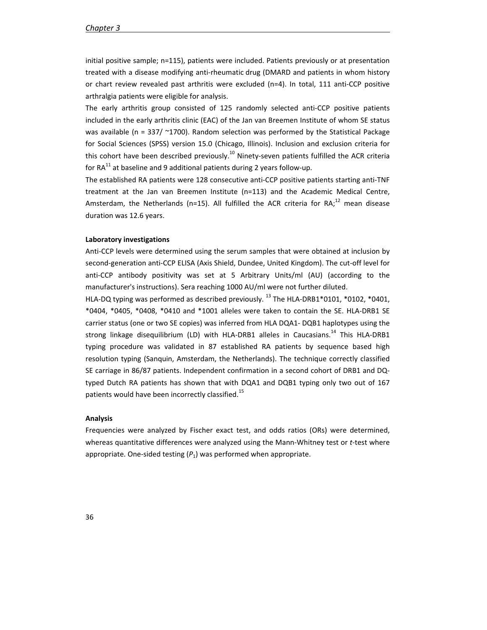initial positive sample; n=115), patients were included. Patients previously or at presentation treated with a disease modifying anti-rheumatic drug (DMARD and patients in whom history or chart review revealed past arthritis were excluded (n=4). In total, 111 anti-CCP positive arthralgia patients were eligible for analysis.

The early arthritis group consisted of 125 randomly selected anti-CCP positive patients included in the early arthritis clinic (EAC) of the Jan van Breemen Institute of whom SE status was available ( $n = 337/$  ~1700). Random selection was performed by the Statistical Package for Social Sciences (SPSS) version 15.0 (Chicago, Illinois). Inclusion and exclusion criteria for this cohort have been described previously.<sup>10</sup> Ninety-seven patients fulfilled the ACR criteria for  $RA^{11}$  at baseline and 9 additional patients during 2 years follow-up.

The established RA patients were 128 consecutive anti-CCP positive patients starting anti-TNF treatment at the Jan van Breemen Institute (n=113) and the Academic Medical Centre, Amsterdam, the Netherlands (n=15). All fulfilled the ACR criteria for RA;<sup>12</sup> mean disease duration was 12.6 years.

#### **Laboratory investigations**

Anti-CCP levels were determined using the serum samples that were obtained at inclusion by second-generation anti-CCP ELISA (Axis Shield, Dundee, United Kingdom). The cut-off level for anti-CCP antibody positivity was set at 5 Arbitrary Units/ml (AU) (according to the manufacturer's instructions). Sera reaching 1000 AU/ml were not further diluted.

HLA-DQ typing was performed as described previously.<sup>13</sup> The HLA-DRB1\*0101, \*0102, \*0401, \*0404, \*0405, \*0408, \*0410 and \*1001 alleles were taken to contain the SE. HLA-DRB1 SE carrier status (one or two SE copies) was inferred from HLA DQA1- DQB1 haplotypes using the strong linkage disequilibrium (LD) with HLA-DRB1 alleles in Caucasians.<sup>14</sup> This HLA-DRB1 typing procedure was validated in 87 established RA patients by sequence based high resolution typing (Sanquin, Amsterdam, the Netherlands). The technique correctly classified SE carriage in 86/87 patients. Independent confirmation in a second cohort of DRB1 and DQtyped Dutch RA patients has shown that with DQA1 and DQB1 typing only two out of 167 patients would have been incorrectly classified.<sup>15</sup>

#### **Analysis**

Frequencies were analyzed by Fischer exact test, and odds ratios (ORs) were determined, whereas quantitative differences were analyzed using the Mann-Whitney test or *t*-test where appropriate. One-sided testing  $(P_1)$  was performed when appropriate.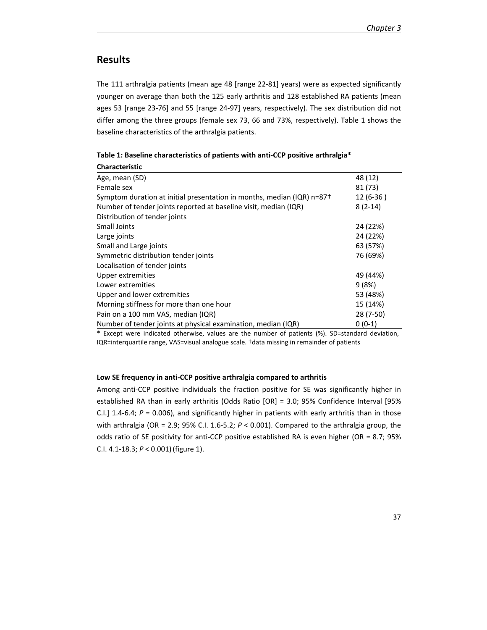# **Results**

The 111 arthralgia patients (mean age 48 [range 22-81] years) were as expected significantly younger on average than both the 125 early arthritis and 128 established RA patients (mean ages 53 [range 23-76] and 55 [range 24-97] years, respectively). The sex distribution did not differ among the three groups (female sex 73, 66 and 73%, respectively). Table 1 shows the baseline characteristics of the arthralgia patients.

| <b>Characteristic</b>                                                                             |            |
|---------------------------------------------------------------------------------------------------|------------|
| Age, mean (SD)                                                                                    | 48 (12)    |
| Female sex                                                                                        | 81 (73)    |
| Symptom duration at initial presentation in months, median (IQR) $n=87+$                          | $12(6-36)$ |
| Number of tender joints reported at baseline visit, median (IQR)                                  | $8(2-14)$  |
| Distribution of tender joints                                                                     |            |
| Small Joints                                                                                      | 24 (22%)   |
| Large joints                                                                                      | 24 (22%)   |
| Small and Large joints                                                                            | 63 (57%)   |
| Symmetric distribution tender joints                                                              | 76 (69%)   |
| Localisation of tender joints                                                                     |            |
| Upper extremities                                                                                 | 49 (44%)   |
| Lower extremities                                                                                 | 9(8%)      |
| Upper and lower extremities                                                                       | 53 (48%)   |
| Morning stiffness for more than one hour                                                          | 15 (14%)   |
| Pain on a 100 mm VAS, median (IQR)                                                                | 28 (7-50)  |
| Number of tender joints at physical examination, median (IQR)                                     | $0(0-1)$   |
| * Euseph waar indicated steepware walke soo the publicate of peticute (0/). CD steedbard deviates |            |

Except were indicated otherwise, values are the number of patients (%). SD=standard deviation, IQR=interquartile range, VAS=visual analogue scale. †data missing in remainder of patients

## **Low SE frequency in anti-CCP positive arthralgia compared to arthritis**

Among anti-CCP positive individuals the fraction positive for SE was significantly higher in established RA than in early arthritis (Odds Ratio [OR] = 3.0; 95% Confidence Interval [95% C.I.] 1.4-6.4;  $P = 0.006$ ), and significantly higher in patients with early arthritis than in those with arthralgia (OR = 2.9; 95% C.I. 1.6-5.2; *P* < 0.001). Compared to the arthralgia group, the odds ratio of SE positivity for anti-CCP positive established RA is even higher (OR = 8.7; 95% C.I. 4.1-18.3; *P* < 0.001)(figure 1).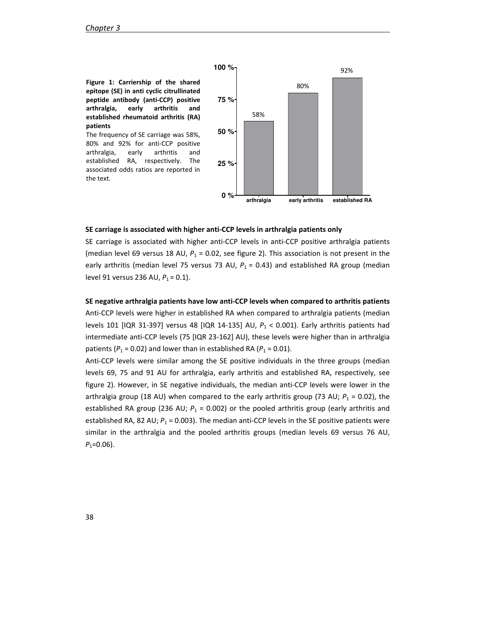**Figure 1: Carriership of the shared epitope (SE) in anti cyclic citrullinated peptide antibody (anti-CCP) positive arthralgia, early arthritis and established rheumatoid arthritis (RA) patients** 

The frequency of SE carriage was 58%, 80% and 92% for anti-CCP positive arthralgia, early arthritis and established RA, respectively. The associated odds ratios are reported in the text.



## **SE carriage is associated with higher anti-CCP levels in arthralgia patients only**

SE carriage is associated with higher anti-CCP levels in anti-CCP positive arthralgia patients (median level 69 versus 18 AU, *P*1 = 0.02, see figure 2). This association is not present in the early arthritis (median level 75 versus 73 AU,  $P_1 = 0.43$ ) and established RA group (median level 91 versus 236 AU,  $P_1 = 0.1$ ).

**SE negative arthralgia patients have low anti-CCP levels when compared to arthritis patients**  Anti-CCP levels were higher in established RA when compared to arthralgia patients (median levels 101 [IQR 31-397] versus 48 [IQR 14-135] AU, *P*<sup>1</sup> < 0.001). Early arthritis patients had intermediate anti-CCP levels (75 [IQR 23-162] AU), these levels were higher than in arthralgia patients ( $P_1$  = 0.02) and lower than in established RA ( $P_1$  = 0.01).

Anti-CCP levels were similar among the SE positive individuals in the three groups (median levels 69, 75 and 91 AU for arthralgia, early arthritis and established RA, respectively, see figure 2). However, in SE negative individuals, the median anti-CCP levels were lower in the arthralgia group (18 AU) when compared to the early arthritis group (73 AU;  $P_1$  = 0.02), the established RA group (236 AU;  $P_1$  = 0.002) or the pooled arthritis group (early arthritis and established RA, 82 AU;  $P_1$  = 0.003). The median anti-CCP levels in the SE positive patients were similar in the arthralgia and the pooled arthritis groups (median levels 69 versus 76 AU,  $P_1$ =0.06).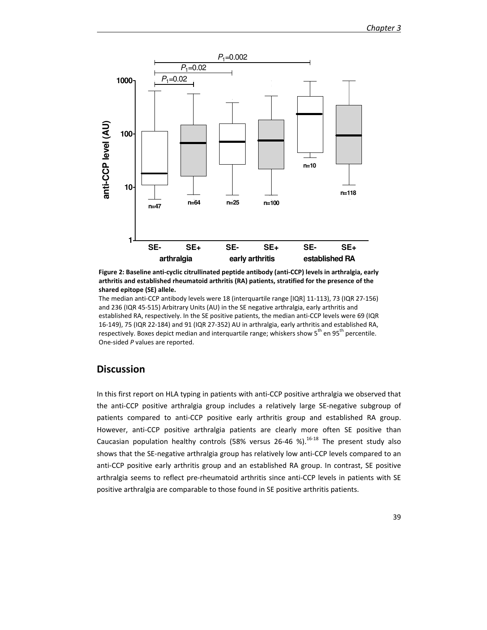

**Figure 2: Baseline anti-cyclic citrullinated peptide antibody (anti-CCP) levels in arthralgia, early arthritis and established rheumatoid arthritis (RA) patients, stratified for the presence of the shared epitope (SE) allele.** 

The median anti-CCP antibody levels were 18 (interquartile range [IQR] 11-113), 73 (IQR 27-156) and 236 (IQR 45-515) Arbitrary Units (AU) in the SE negative arthralgia, early arthritis and established RA, respectively. In the SE positive patients, the median anti-CCP levels were 69 (IQR 16-149), 75 (IQR 22-184) and 91 (IQR 27-352) AU in arthralgia, early arthritis and established RA, respectively. Boxes depict median and interquartile range; whiskers show 5<sup>th</sup> en 95<sup>th</sup> percentile. One-sided *P* values are reported.

# **Discussion**

In this first report on HLA typing in patients with anti-CCP positive arthralgia we observed that the anti-CCP positive arthralgia group includes a relatively large SE-negative subgroup of patients compared to anti-CCP positive early arthritis group and established RA group. However, anti-CCP positive arthralgia patients are clearly more often SE positive than Caucasian population healthy controls (58% versus 26-46 %).<sup>16-18</sup> The present study also shows that the SE-negative arthralgia group has relatively low anti-CCP levels compared to an anti-CCP positive early arthritis group and an established RA group. In contrast, SE positive arthralgia seems to reflect pre-rheumatoid arthritis since anti-CCP levels in patients with SE positive arthralgia are comparable to those found in SE positive arthritis patients.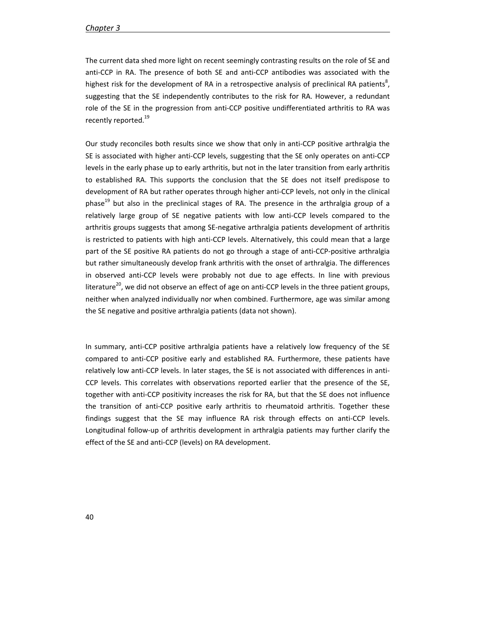The current data shed more light on recent seemingly contrasting results on the role of SE and anti-CCP in RA. The presence of both SE and anti-CCP antibodies was associated with the highest risk for the development of RA in a retrospective analysis of preclinical RA patients<sup>8</sup>, suggesting that the SE independently contributes to the risk for RA. However, a redundant role of the SE in the progression from anti-CCP positive undifferentiated arthritis to RA was recently reported.<sup>19</sup>

Our study reconciles both results since we show that only in anti-CCP positive arthralgia the SE is associated with higher anti-CCP levels, suggesting that the SE only operates on anti-CCP levels in the early phase up to early arthritis, but not in the later transition from early arthritis to established RA. This supports the conclusion that the SE does not itself predispose to development of RA but rather operates through higher anti-CCP levels, not only in the clinical phase<sup>19</sup> but also in the preclinical stages of RA. The presence in the arthralgia group of a relatively large group of SE negative patients with low anti-CCP levels compared to the arthritis groups suggests that among SE-negative arthralgia patients development of arthritis is restricted to patients with high anti-CCP levels. Alternatively, this could mean that a large part of the SE positive RA patients do not go through a stage of anti-CCP-positive arthralgia but rather simultaneously develop frank arthritis with the onset of arthralgia. The differences in observed anti-CCP levels were probably not due to age effects. In line with previous literature<sup>20</sup>, we did not observe an effect of age on anti-CCP levels in the three patient groups, neither when analyzed individually nor when combined. Furthermore, age was similar among the SE negative and positive arthralgia patients (data not shown).

In summary, anti-CCP positive arthralgia patients have a relatively low frequency of the SE compared to anti-CCP positive early and established RA. Furthermore, these patients have relatively low anti-CCP levels. In later stages, the SE is not associated with differences in anti-CCP levels. This correlates with observations reported earlier that the presence of the SE, together with anti-CCP positivity increases the risk for RA, but that the SE does not influence the transition of anti-CCP positive early arthritis to rheumatoid arthritis. Together these findings suggest that the SE may influence RA risk through effects on anti-CCP levels. Longitudinal follow-up of arthritis development in arthralgia patients may further clarify the effect of the SE and anti-CCP (levels) on RA development.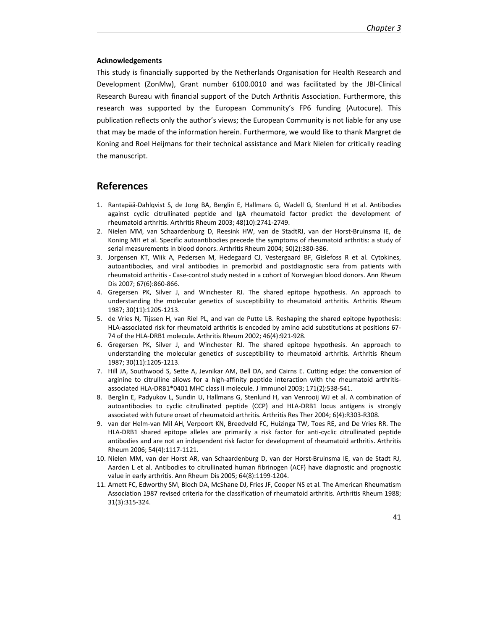#### **Acknowledgements**

This study is financially supported by the Netherlands Organisation for Health Research and Development (ZonMw), Grant number 6100.0010 and was facilitated by the JBI-Clinical Research Bureau with financial support of the Dutch Arthritis Association. Furthermore, this research was supported by the European Community's FP6 funding (Autocure). This publication reflects only the author's views; the European Community is not liable for any use that may be made of the information herein. Furthermore, we would like to thank Margret de Koning and Roel Heijmans for their technical assistance and Mark Nielen for critically reading the manuscript.

## **References**

- 1. Rantapää-Dahlqvist S, de Jong BA, Berglin E, Hallmans G, Wadell G, Stenlund H et al. Antibodies against cyclic citrullinated peptide and IgA rheumatoid factor predict the development of rheumatoid arthritis. Arthritis Rheum 2003; 48(10):2741-2749.
- 2. Nielen MM, van Schaardenburg D, Reesink HW, van de StadtRJ, van der Horst-Bruinsma IE, de Koning MH et al. Specific autoantibodies precede the symptoms of rheumatoid arthritis: a study of serial measurements in blood donors. Arthritis Rheum 2004; 50(2):380-386.
- 3. Jorgensen KT, Wiik A, Pedersen M, Hedegaard CJ, Vestergaard BF, Gislefoss R et al. Cytokines, autoantibodies, and viral antibodies in premorbid and postdiagnostic sera from patients with rheumatoid arthritis - Case-control study nested in a cohort of Norwegian blood donors. Ann Rheum Dis 2007; 67(6):860-866.
- 4. Gregersen PK, Silver J, and Winchester RJ. The shared epitope hypothesis. An approach to understanding the molecular genetics of susceptibility to rheumatoid arthritis. Arthritis Rheum 1987; 30(11):1205-1213.
- 5. de Vries N, Tijssen H, van Riel PL, and van de Putte LB. Reshaping the shared epitope hypothesis: HLA-associated risk for rheumatoid arthritis is encoded by amino acid substitutions at positions 67- 74 of the HLA-DRB1 molecule. Arthritis Rheum 2002; 46(4):921-928.
- 6. Gregersen PK, Silver J, and Winchester RJ. The shared epitope hypothesis. An approach to understanding the molecular genetics of susceptibility to rheumatoid arthritis. Arthritis Rheum 1987; 30(11):1205-1213.
- 7. Hill JA, Southwood S, Sette A, Jevnikar AM, Bell DA, and Cairns E. Cutting edge: the conversion of arginine to citrulline allows for a high-affinity peptide interaction with the rheumatoid arthritisassociated HLA-DRB1\*0401 MHC class II molecule. J Immunol 2003; 171(2):538-541.
- 8. Berglin E, Padyukov L, Sundin U, Hallmans G, Stenlund H, van Venrooij WJ et al. A combination of autoantibodies to cyclic citrullinated peptide (CCP) and HLA-DRB1 locus antigens is strongly associated with future onset of rheumatoid arthritis. Arthritis Res Ther 2004; 6(4):R303-R308.
- 9. van der Helm-van Mil AH, Verpoort KN, Breedveld FC, Huizinga TW, Toes RE, and De Vries RR. The HLA-DRB1 shared epitope alleles are primarily a risk factor for anti-cyclic citrullinated peptide antibodies and are not an independent risk factor for development of rheumatoid arthritis. Arthritis Rheum 2006; 54(4):1117-1121.
- 10. Nielen MM, van der Horst AR, van Schaardenburg D, van der Horst-Bruinsma IE, van de Stadt RJ, Aarden L et al. Antibodies to citrullinated human fibrinogen (ACF) have diagnostic and prognostic value in early arthritis. Ann Rheum Dis 2005; 64(8):1199-1204.
- 11. Arnett FC, Edworthy SM, Bloch DA, McShane DJ, Fries JF, Cooper NS et al. The American Rheumatism Association 1987 revised criteria for the classification of rheumatoid arthritis. Arthritis Rheum 1988; 31(3):315-324.